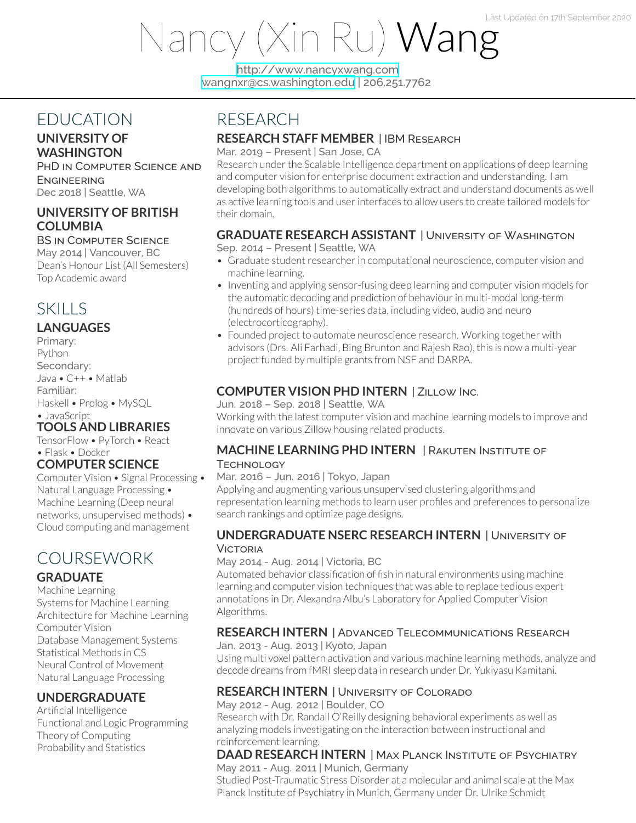# Nancy (Xin Ru) Wang

<http://www.nancyxwang.com> [wangnxr@cs.washington.edu](mailto:wangnxr@cs.washington.edu) | 206.251.7762

# EDUCATION

## **UNIVERSITY OF WASHINGTON**

PHD IN COMPUTER SCIENCE AND **ENGINEERING** Dec 2018 | Seattle, WA

## **UNIVERSITY OF BRITISH COLUMBIA**

BS IN COMPUTER SCIENCE May 2014 | Vancouver, BC

Dean's Honour List (All Semesters) Top Academic award

# **SKILLS**

## **LANGUAGES**

Primary: Python Secondary: Java • C++ • Matlab Familiar: Haskell • Prolog • MySQL • JavaScript **TOOLS AND LIBRARIES**

## TensorFlow • PyTorch • React

• Flask • Docker

## **COMPUTER SCIENCE**

Computer Vision • Signal Processing • Natural Language Processing • Machine Learning (Deep neural networks, unsupervised methods) • Cloud computing and management

# COURSEWORK

#### **GRADUATE**

Machine Learning Systems for Machine Learning Architecture for Machine Learning Computer Vision Database Management Systems Statistical Methods in CS Neural Control of Movement Natural Language Processing

#### **UNDERGRADUATE**

Artificial Intelligence Functional and Logic Programming Theory of Computing Probability and Statistics

# RESEARCH

## **RESEARCH STAFF MEMBER** | IBM RESEARCH

Mar. 2019 – Present | San Jose, CA

Research under the Scalable Intelligence department on applications of deep learning and computer vision for enterprise document extraction and understanding. I am developing both algorithms to automatically extract and understand documents as well as active learning tools and userinterfaces to allow users to create tailored models for their domain.

## **GRADUATE RESEARCH ASSISTANT** | UNIVERSITY OF WASHINGTON

#### Sep. 2014 – Present | Seattle, WA

- Graduate student researcher in computational neuroscience, computer vision and machine learning.
- Inventing and applying sensor-fusing deep learning and computer vision models for the automatic decoding and prediction of behaviour in multi-modal long-term (hundreds of hours) time-series data, including video, audio and neuro (electrocorticography).
- Founded project to automate neuroscience research. Working together with advisors (Drs. Ali Farhadi, Bing Brunton and Rajesh Rao), this is now a multi-year project funded by multiple grants from NSF and DARPA.

## **COMPUTER VISION PHD INTERN** | ZILLOW INC.

Jun. 2018 – Sep. 2018 | Seattle, WA

Working with the latest computer vision and machine learning models to improve and innovate on various Zillow housing related products.

#### **MACHINE LEARNING PHD INTERN** | RAKUTEN INSTITUTE OF **TECHNOLOGY**

#### Mar. 2016 – Jun. 2016 | Tokyo, Japan

Applying and augmenting various unsupervised clustering algorithms and representation learning methods to learn user profiles and preferences to personalize search rankings and optimize page designs.

#### **UNDERGRADUATE NSERC RESEARCH INTERN** | UNIVERSITY OF VICTORIA

#### May 2014 - Aug. 2014 | Victoria, BC

Automated behavior classification of fish in natural environments using machine learning and computer vision techniques that was able to replace tedious expert annotations in Dr. Alexandra Albu's Laboratory for Applied Computer Vision Algorithms.

## **RESEARCH INTERN** | ADVANCED TELECOMMUNICATIONS RESEARCH

Jan. 2013 - Aug. 2013 | Kyoto, Japan

Using multi voxel pattern activation and various machine learning methods, analyze and decode dreams from fMRI sleep data in research under Dr. Yukiyasu Kamitani.

## **RESEARCH INTERN** | UNIVERSITY OF COLORADO

May 2012 - Aug. 2012 | Boulder, CO

Research with Dr. Randall O'Reilly designing behavioral experiments as well as analyzing models investigating on the interaction between instructional and reinforcement learning.

#### **DAAD RESEARCH INTERN** | MAX PLANCK INSTITUTE OF PSYCHIATRY May 2011 - Aug. 2011 | Munich, Germany

Studied Post-Traumatic Stress Disorder at a molecular and animal scale at the Max Planck Institute of Psychiatry in Munich, Germany under Dr. Ulrike Schmidt